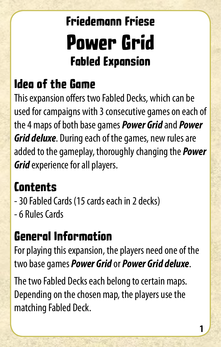# **Friedemann Friese Power Grid Fabled Expansion**

## **Idea of the Game**

This expansion offers two Fabled Decks, which can be used for campaigns with 3 consecutive games on each of the 4 maps of both base games *Power Grid* and *Power Grid deluxe*. During each of the games, new rules are added to the gameplay, thoroughly changing the *Power Grid* experience for all players.

#### **Contents**

- 30 Fabled Cards (15 cards each in 2 decks)
- 6 Rules Cards

#### **General Information**

For playing this expansion, the players need one of the two base games *Power Grid* or *Power Grid deluxe*.

The two Fabled Decks each belong to certain maps. Depending on the chosen map, the players use the matching Fabled Deck.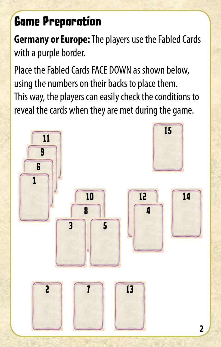## **Game Preparation**

**Germany or Europe:** The players use the Fabled Cards with a purple border.

Place the Fabled Cards FACE DOWN as shown below, using the numbers on their backs to place them. This way, the players can easily check the conditions to reveal the cards when they are met during the game.

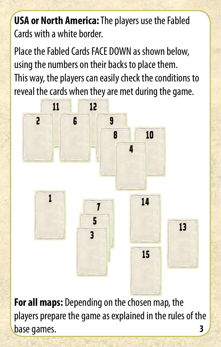**USA or North America:** The players use the Fabled Cards with a white border.

Place the Fabled Cards FACE DOWN as shown below, using the numbers on their backs to place them. This way, the players can easily check the conditions to reveal the cards when they are met during the game.



**For all maps:** Depending on the chosen map, the players prepare the game as explained in the rules of the base games. **3**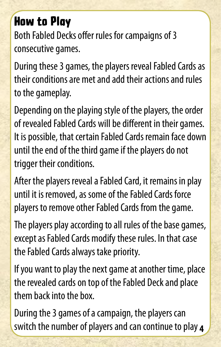## **How to Play**

Both Fabled Decks offer rules for campaigns of 3 consecutive games.

During these 3 games, the players reveal Fabled Cards as their conditions are met and add their actions and rules to the gameplay.

Depending on the playing style of the players, the order of revealed Fabled Cards will be different in their games. It is possible, that certain Fabled Cards remain face down until the end of the third game if the players do not trigger their conditions.

After the players reveal a Fabled Card, it remains in play until it is removed, as some of the Fabled Cards force players to remove other Fabled Cards from the game.

The players play according to all rules of the base games, except as Fabled Cards modify these rules. In that case the Fabled Cards always take priority.

If you want to play the next game at another time, place the revealed cards on top of the Fabled Deck and place them back into the box.

During the 3 games of a campaign, the players can switch the number of players and can continue to play **4**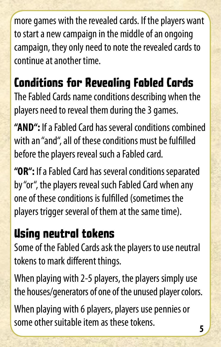more games with the revealed cards. If the players want to start a new campaign in the middle of an ongoing campaign, they only need to note the revealed cards to continue at another time.

## **Conditions for Revealing Fabled Cards**

The Fabled Cards name conditions describing when the players need to reveal them during the 3 games.

**"AND":** If a Fabled Card has several conditions combined with an "and", all of these conditions must be fulfilled before the players reveal such a Fabled card.

**"OR":** If a Fabled Card has several conditions separated by "or", the players reveal such Fabled Card when any one of these conditions is fulfilled (sometimes the players trigger several of them at the same time).

#### **Using neutral tokens**

Some of the Fabled Cards ask the players to use neutral tokens to mark different things.

When playing with 2-5 players, the players simply use the houses/generators of one of the unused player colors.

When playing with 6 players, players use pennies or some other suitable item as these tokens. **<sup>5</sup>**